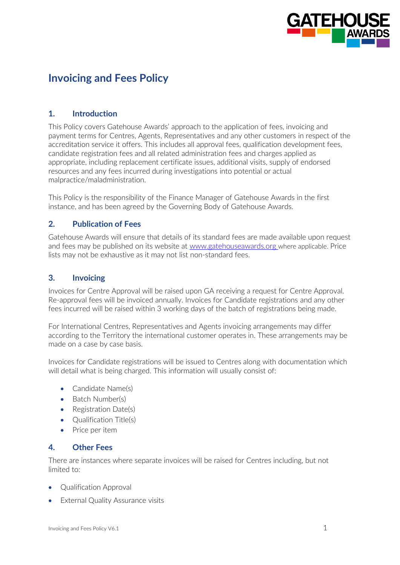

# **Invoicing and Fees Policy**

## **1. Introduction**

This Policy covers Gatehouse Awards' approach to the application of fees, invoicing and payment terms for Centres, Agents, Representatives and any other customers in respect of the accreditation service it offers. This includes all approval fees, qualification development fees, candidate registration fees and all related administration fees and charges applied as appropriate, including replacement certificate issues, additional visits, supply of endorsed resources and any fees incurred during investigations into potential or actual malpractice/maladministration.

This Policy is the responsibility of the Finance Manager of Gatehouse Awards in the first instance, and has been agreed by the Governing Body of Gatehouse Awards.

## **2. Publication of Fees**

Gatehouse Awards will ensure that details of its standard fees are made available upon request and fees may be published on its website at [www.gatehouseawards.org](http://www.emdqualifications.com/) where applicable. Price lists may not be exhaustive as it may not list non-standard fees.

## **3. Invoicing**

Invoices for Centre Approval will be raised upon GA receiving a request for Centre Approval. Re-approval fees will be invoiced annually. Invoices for Candidate registrations and any other fees incurred will be raised within 3 working days of the batch of registrations being made.

For International Centres, Representatives and Agents invoicing arrangements may differ according to the Territory the international customer operates in. These arrangements may be made on a case by case basis.

Invoices for Candidate registrations will be issued to Centres along with documentation which will detail what is being charged. This information will usually consist of:

- Candidate Name(s)
- Batch Number(s)
- Registration Date(s)
- Qualification Title(s)
- Price per item

### **4. Other Fees**

There are instances where separate invoices will be raised for Centres including, but not limited to:

- Qualification Approval
- External Quality Assurance visits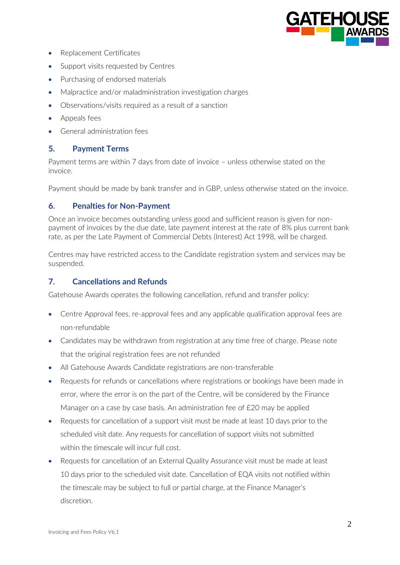

- Replacement Certificates
- Support visits requested by Centres
- Purchasing of endorsed materials
- Malpractice and/or maladministration investigation charges
- Observations/visits required as a result of a sanction
- Appeals fees
- General administration fees

## **5. Payment Terms**

Payment terms are within 7 days from date of invoice – unless otherwise stated on the invoice.

Payment should be made by bank transfer and in GBP, unless otherwise stated on the invoice.

#### **6. Penalties for Non-Payment**

Once an invoice becomes outstanding unless good and sufficient reason is given for nonpayment of invoices by the due date, late payment interest at the rate of 8% plus current bank rate, as per the Late Payment of Commercial Debts (Interest) Act 1998, will be charged.

Centres may have restricted access to the Candidate registration system and services may be suspended.

#### **7. Cancellations and Refunds**

Gatehouse Awards operates the following cancellation, refund and transfer policy:

- Centre Approval fees, re-approval fees and any applicable qualification approval fees are non-refundable
- Candidates may be withdrawn from registration at any time free of charge. Please note that the original registration fees are not refunded
- All Gatehouse Awards Candidate registrations are non-transferable
- Requests for refunds or cancellations where registrations or bookings have been made in error, where the error is on the part of the Centre, will be considered by the Finance Manager on a case by case basis. An administration fee of £20 may be applied
- Requests for cancellation of a support visit must be made at least 10 days prior to the scheduled visit date. Any requests for cancellation of support visits not submitted within the timescale will incur full cost.
- Requests for cancellation of an External Quality Assurance visit must be made at least 10 days prior to the scheduled visit date. Cancellation of EQA visits not notified within the timescale may be subject to full or partial charge, at the Finance Manager's discretion.